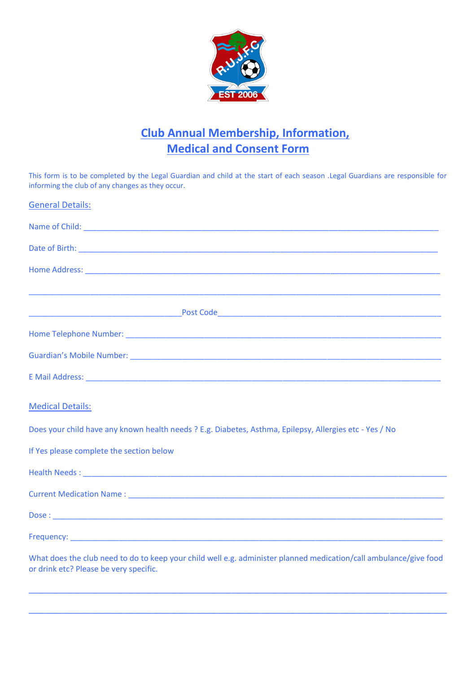

## **Club Annual Membership, Information, Medical and Consent Form**

This form is to be completed by the Legal Guardian and child at the start of each season .Legal Guardians are responsible for informing the club of any changes as they occur.

| <b>General Details:</b>                                                                                                                                     |
|-------------------------------------------------------------------------------------------------------------------------------------------------------------|
|                                                                                                                                                             |
|                                                                                                                                                             |
|                                                                                                                                                             |
| <u> 1989 - Johann John Harry Harry Harry Harry Harry Harry Harry Harry Harry Harry Harry Harry Harry Harry Harry</u>                                        |
|                                                                                                                                                             |
|                                                                                                                                                             |
|                                                                                                                                                             |
| <b>Medical Details:</b>                                                                                                                                     |
| Does your child have any known health needs ? E.g. Diabetes, Asthma, Epilepsy, Allergies etc - Yes / No                                                     |
| If Yes please complete the section below                                                                                                                    |
|                                                                                                                                                             |
|                                                                                                                                                             |
|                                                                                                                                                             |
|                                                                                                                                                             |
| What does the club need to do to keep your child well e.g. administer planned medication/call ambulance/give food<br>or drink etc? Please be very specific. |

**\_\_\_\_\_\_\_\_\_\_\_\_\_\_\_\_\_\_\_\_\_\_\_\_\_\_\_\_\_\_\_\_\_\_\_\_\_\_\_\_\_\_\_\_\_\_\_\_\_\_\_\_\_\_\_\_\_\_\_\_\_\_\_\_\_\_\_\_\_\_\_\_\_\_\_\_\_\_\_\_\_\_\_\_\_\_\_\_\_\_\_\_\_\_\_**

**\_\_\_\_\_\_\_\_\_\_\_\_\_\_\_\_\_\_\_\_\_\_\_\_\_\_\_\_\_\_\_\_\_\_\_\_\_\_\_\_\_\_\_\_\_\_\_\_\_\_\_\_\_\_\_\_\_\_\_\_\_\_\_\_\_\_\_\_\_\_\_\_\_\_\_\_\_\_\_\_\_\_\_\_\_\_\_\_\_\_\_\_\_\_\_**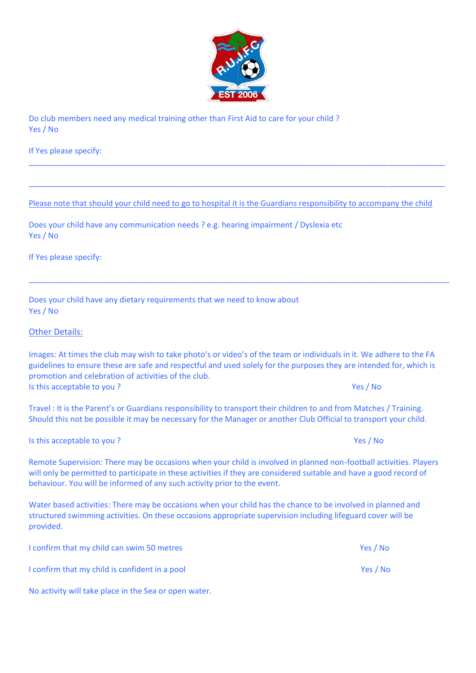

Do club members need any medical training other than First Aid to care for your child ? Yes / No

If Yes please specify:

Please note that should your child need to go to hospital it is the Guardians responsibility to accompany the child

\_\_\_\_\_\_\_\_\_\_\_\_\_\_\_\_\_\_\_\_\_\_\_\_\_\_\_\_\_\_\_\_\_\_\_\_\_\_\_\_\_\_\_\_\_\_\_\_\_\_\_\_\_\_\_\_\_\_\_\_\_\_\_\_\_\_\_\_\_\_\_\_\_\_\_\_\_\_\_\_\_\_\_\_\_\_\_\_\_\_\_\_\_\_\_

\_\_\_\_\_\_\_\_\_\_\_\_\_\_\_\_\_\_\_\_\_\_\_\_\_\_\_\_\_\_\_\_\_\_\_\_\_\_\_\_\_\_\_\_\_\_\_\_\_\_\_\_\_\_\_\_\_\_\_\_\_\_\_\_\_\_\_\_\_\_\_\_\_\_\_\_\_\_\_\_\_\_\_\_\_\_\_\_\_\_\_\_\_\_\_

\_\_\_\_\_\_\_\_\_\_\_\_\_\_\_\_\_\_\_\_\_\_\_\_\_\_\_\_\_\_\_\_\_\_\_\_\_\_\_\_\_\_\_\_\_\_\_\_\_\_\_\_\_\_\_\_\_\_\_\_\_\_\_\_\_\_\_\_\_\_\_\_\_\_\_\_\_\_\_\_\_\_\_\_\_\_\_\_\_\_\_\_\_\_\_\_

Does your child have any communication needs ? e.g. hearing impairment / Dyslexia etc Yes / No

If Yes please specify:

Does your child have any dietary requirements that we need to know about Yes / No

## Other Details:

Images: At times the club may wish to take photo's or video's of the team or individuals in it. We adhere to the FA guidelines to ensure these are safe and respectful and used solely for the purposes they are intended for, which is promotion and celebration of activities of the club. Is this acceptable to you ? Yes / No

Travel : It is the Parent's or Guardians responsibility to transport their children to and from Matches / Training. Should this not be possible it may be necessary for the Manager or another Club Official to transport your child.

Is this acceptable to you ? Yes / No was a set of the set of the set of the set of the set of the set of the set of the set of the set of the set of the set of the set of the set of the set of the set of the set of the set

Remote Supervision: There may be occasions when your child is involved in planned non-football activities. Players will only be permitted to participate in these activities if they are considered suitable and have a good record of behaviour. You will be informed of any such activity prior to the event.

Water based activities: There may be occasions when your child has the chance to be involved in planned and structured swimming activities. On these occasions appropriate supervision including lifeguard cover will be provided.

| I confirm that my child can swim 50 metres     | Yes / No |
|------------------------------------------------|----------|
| I confirm that my child is confident in a pool | Yes / No |

No activity will take place in the Sea or open water.